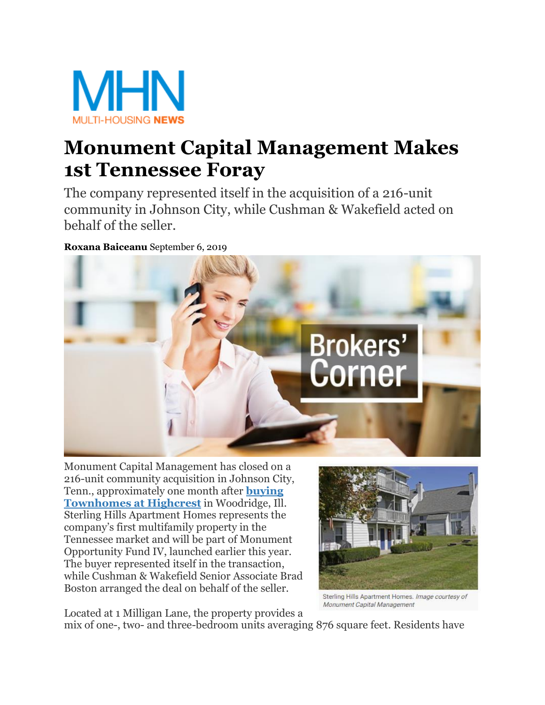

## **Monument Capital Management Makes 1st Tennessee Foray**

The company represented itself in the acquisition of a 216-unit community in Johnson City, while Cushman & Wakefield acted on behalf of the seller.

**[Roxana Baiceanu](https://www.multihousingnews.com/author/roxana-baiceanu/)** September 6, 2019



 while Cushman & Wakefield Senior Associate Brad Monument Capital Management has closed on a 216-unit community acquisition in Johnson City, Tenn., approximately one month after **[buying](https://www.multihousingnews.com/post/monument-capital-management-expands-chicago-area-portfolio/)  [Townhomes at Highcrest](https://www.multihousingnews.com/post/monument-capital-management-expands-chicago-area-portfolio/)** in Woodridge, Ill. Sterling Hills Apartment Homes represents the company's first multifamily property in the Tennessee market and will be part of Monument Opportunity Fund IV, launched earlier this year. The buyer represented itself in the transaction, Boston arranged the deal on behalf of the seller.



Sterling Hills Apartment Homes. Image courtesy of Monument Capital Management

Located at 1 Milligan Lane, the property provides a

mix of one-, two- and three-bedroom units averaging 876 square feet. Residents have